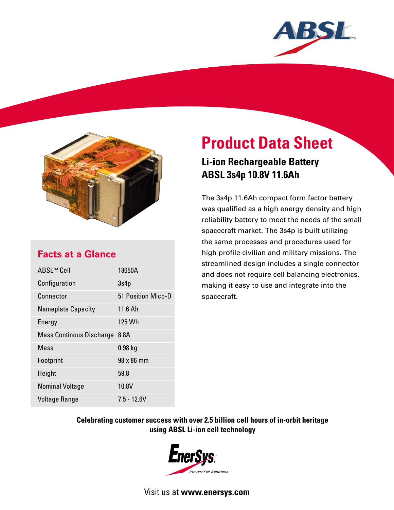



### **Facts at a Glance**

| ABSL™ Cell                      | 18650A             |
|---------------------------------|--------------------|
| Configuration                   | 3s4p               |
| Connector                       | 51 Position Mico-D |
| <b>Nameplate Capacity</b>       | 11.6 Ah            |
| Energy                          | 125 Wh             |
| <b>Mass Continous Discharge</b> | 8.8A               |
| Mass                            | $0.98$ kg          |
| Footprint                       | 98 x 86 mm         |
| Height                          | 59.8               |
| <b>Nominal Voltage</b>          | 10.8V              |
| Voltage Range                   | $7.5 - 12.6V$      |

# **Product Data Sheet**

## **Li-ion Rechargeable Battery ABSL 3s4p 10.8V 11.6Ah**

The 3s4p 11.6Ah compact form factor battery was qualified as a high energy density and high reliability battery to meet the needs of the small spacecraft market. The 3s4p is built utilizing the same processes and procedures used for high profile civilian and military missions. The streamlined design includes a single connector and does not require cell balancing electronics, making it easy to use and integrate into the spacecraft.

#### **Celebrating customer success with over 2.5 billion cell hours of in-orbit heritage using ABSL Li-ion cell technology**



Visit us at **www.enersys.com**